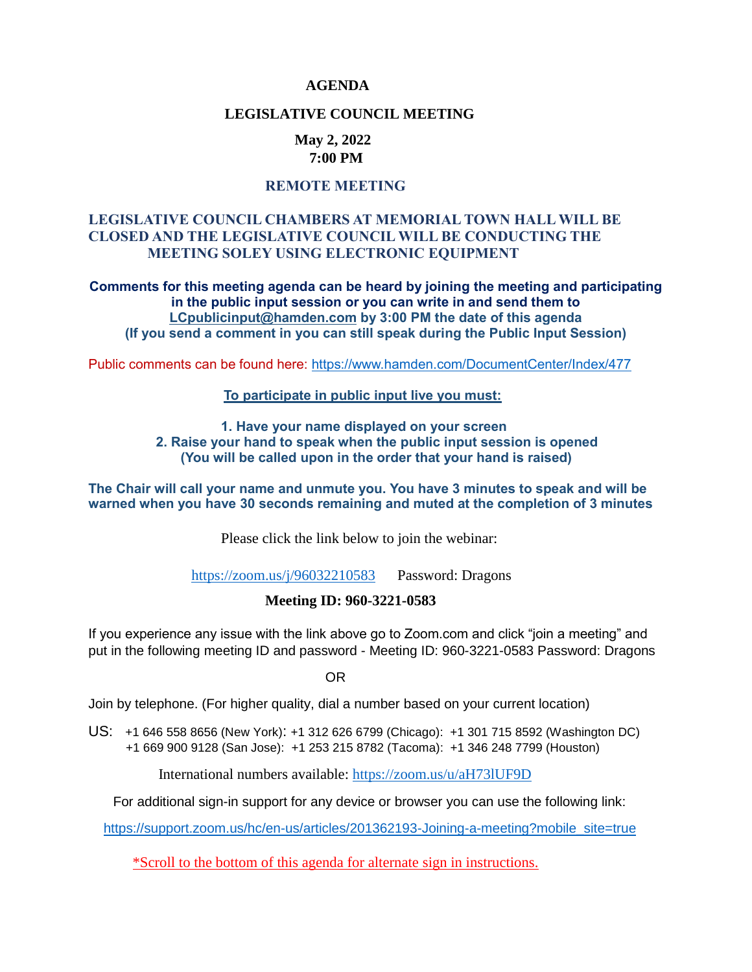### **AGENDA**

#### **LEGISLATIVE COUNCIL MEETING**

### **May 2, 2022 7:00 PM**

### **REMOTE MEETING**

### **LEGISLATIVE COUNCIL CHAMBERS AT MEMORIAL TOWN HALL WILL BE CLOSED AND THE LEGISLATIVE COUNCIL WILL BE CONDUCTING THE MEETING SOLEY USING ELECTRONIC EQUIPMENT**

**Comments for this meeting agenda can be heard by joining the meeting and participating in the public input session or you can write in and send them to [LCpublicinput@hamden.com](mailto:LCpublicinput@hamden.com) by 3:00 PM the date of this agenda (If you send a comment in you can still speak during the Public Input Session)**

Public comments can be found here:<https://www.hamden.com/DocumentCenter/Index/477>

#### **To participate in public input live you must:**

**1. Have your name displayed on your screen 2. Raise your hand to speak when the public input session is opened (You will be called upon in the order that your hand is raised)** 

**The Chair will call your name and unmute you. You have 3 minutes to speak and will be warned when you have 30 seconds remaining and muted at the completion of 3 minutes**

Please click the link below to join the webinar:

<https://zoom.us/j/96032210583>Password: Dragons

### **Meeting ID: 960-3221-0583**

If you experience any issue with the link above go to Zoom.com and click "join a meeting" and put in the following meeting ID and password - Meeting ID: 960-3221-0583 Password: Dragons

OR

Join by telephone. (For higher quality, dial a number based on your current location)

US: [+1 646 558 8656 \(New York\)](tel:+16465588656): [+1 312 626 6799 \(Chicago\):](tel:+13126266799) [+1 301 715 8592 \(Washington DC\)](tel:+13017158592) +1 669 900 9128 (San Jose): [+1 253 215 8782 \(Tacoma\):](tel:+12532158782) [+1 346 248 7799 \(Houston\)](tel:+13462487799)

International numbers available:<https://zoom.us/u/aH73lUF9D>

For additional sign-in support for any device or browser you can use the following link:

[https://support.zoom.us/hc/en-us/articles/201362193-Joining-a-meeting?mobile\\_site=true](https://support.zoom.us/hc/en-us/articles/201362193-Joining-a-meeting?mobile_site=true)

\*Scroll to the bottom of this agenda for alternate sign in instructions.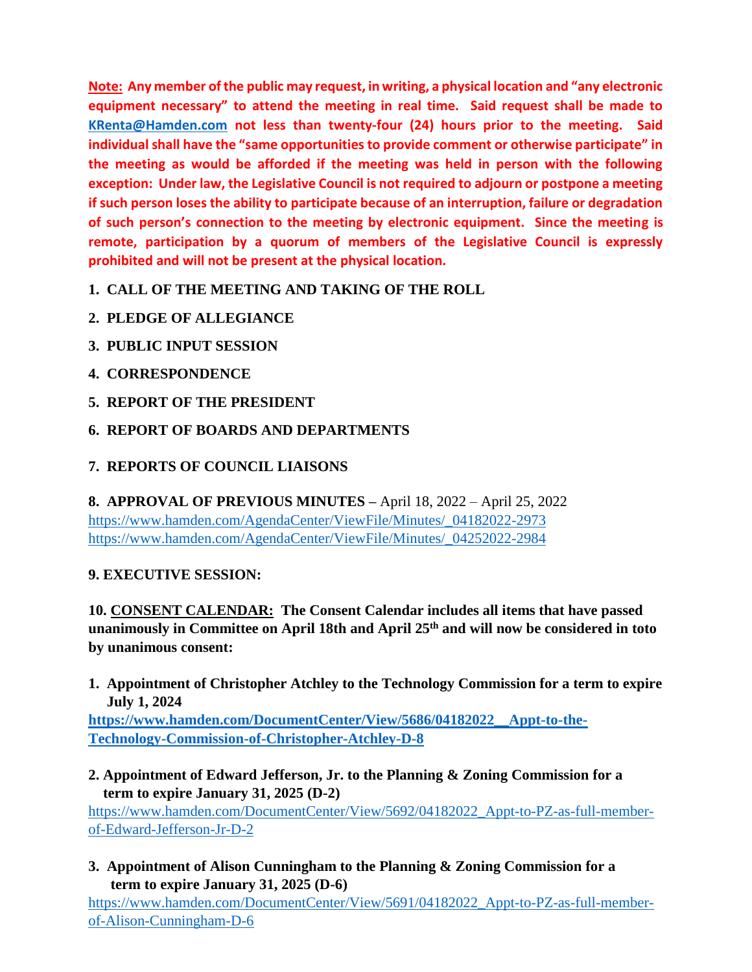**Note: Any member of the public may request, in writing, a physical location and "any electronic equipment necessary" to attend the meeting in real time. Said request shall be made to [KRenta@Hamden.com](mailto:KRenta@Hamden.com) not less than twenty-four (24) hours prior to the meeting. Said individual shall have the "same opportunities to provide comment or otherwise participate" in the meeting as would be afforded if the meeting was held in person with the following exception: Under law, the Legislative Council is not required to adjourn or postpone a meeting if such person loses the ability to participate because of an interruption, failure or degradation of such person's connection to the meeting by electronic equipment. Since the meeting is remote, participation by a quorum of members of the Legislative Council is expressly prohibited and will not be present at the physical location.**

**1. CALL OF THE MEETING AND TAKING OF THE ROLL**

- **2. PLEDGE OF ALLEGIANCE**
- **3. PUBLIC INPUT SESSION**
- **4. CORRESPONDENCE**
- **5. REPORT OF THE PRESIDENT**
- **6. REPORT OF BOARDS AND DEPARTMENTS**
- **7. REPORTS OF COUNCIL LIAISONS**

**8. APPROVAL OF PREVIOUS MINUTES –** April 18, 2022 – April 25, 2022 [https://www.hamden.com/AgendaCenter/ViewFile/Minutes/\\_04182022-2973](https://www.hamden.com/AgendaCenter/ViewFile/Minutes/_04182022-2973) [https://www.hamden.com/AgendaCenter/ViewFile/Minutes/\\_04252022-2984](https://www.hamden.com/AgendaCenter/ViewFile/Minutes/_04252022-2984)

# **9. EXECUTIVE SESSION:**

**10. CONSENT CALENDAR: The Consent Calendar includes all items that have passed unanimously in Committee on April 18th and April 25th and will now be considered in toto by unanimous consent:**

**1. Appointment of Christopher Atchley to the Technology Commission for a term to expire July 1, 2024**

**[https://www.hamden.com/DocumentCenter/View/5686/04182022\\_\\_Appt-to-the-](https://www.hamden.com/DocumentCenter/View/5686/04182022__Appt-to-the-Technology-Commission-of-Christopher-Atchley-D-8)[Technology-Commission-of-Christopher-Atchley-D-8](https://www.hamden.com/DocumentCenter/View/5686/04182022__Appt-to-the-Technology-Commission-of-Christopher-Atchley-D-8)**

- **2. Appointment of Edward Jefferson, Jr. to the Planning & Zoning Commission for a term to expire January 31, 2025 (D-2)** [https://www.hamden.com/DocumentCenter/View/5692/04182022\\_Appt-to-PZ-as-full-member](https://www.hamden.com/DocumentCenter/View/5692/04182022_Appt-to-PZ-as-full-member-of-Edward-Jefferson-Jr-D-2)[of-Edward-Jefferson-Jr-D-2](https://www.hamden.com/DocumentCenter/View/5692/04182022_Appt-to-PZ-as-full-member-of-Edward-Jefferson-Jr-D-2)
- **3. Appointment of Alison Cunningham to the Planning & Zoning Commission for a term to expire January 31, 2025 (D-6)**

[https://www.hamden.com/DocumentCenter/View/5691/04182022\\_Appt-to-PZ-as-full-member](https://www.hamden.com/DocumentCenter/View/5691/04182022_Appt-to-PZ-as-full-member-of-Alison-Cunningham-D-6)[of-Alison-Cunningham-D-6](https://www.hamden.com/DocumentCenter/View/5691/04182022_Appt-to-PZ-as-full-member-of-Alison-Cunningham-D-6)